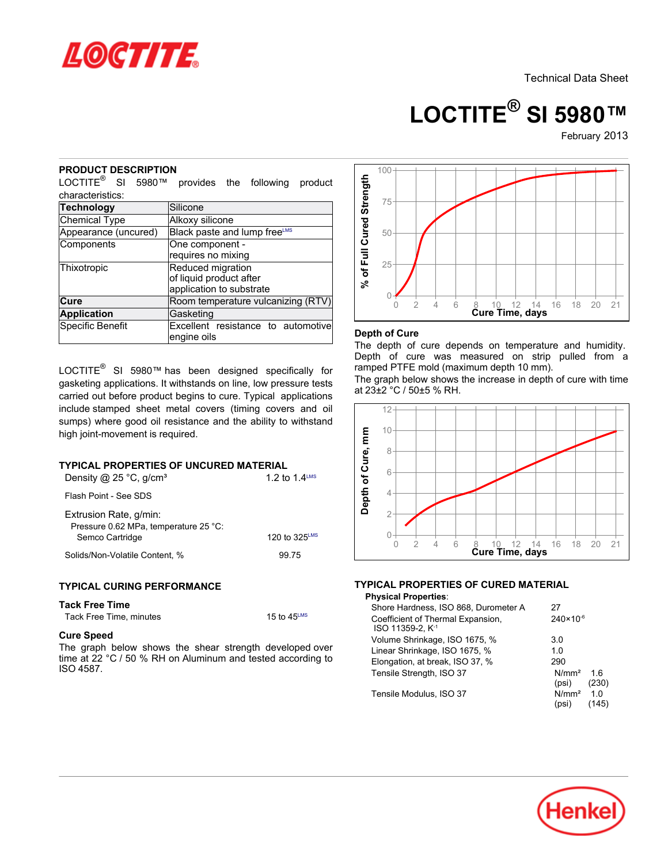

# **LOCTITE® SI 5980™**

February-2013

## **PRODUCT DESCRIPTION**

LOCTITE® SI 5980™ provides the following product characteristics:

| Technology           | Silicone                           |  |  |  |
|----------------------|------------------------------------|--|--|--|
| Chemical Type        | Alkoxy silicone                    |  |  |  |
| Appearance (uncured) | Black paste and lump freeLMS       |  |  |  |
| Components           | One component -                    |  |  |  |
|                      | requires no mixing                 |  |  |  |
| Thixotropic          | Reduced migration                  |  |  |  |
|                      | of liquid product after            |  |  |  |
|                      | application to substrate           |  |  |  |
| Cure                 | Room temperature vulcanizing (RTV) |  |  |  |
| <b>Application</b>   | Gasketing                          |  |  |  |
| Specific Benefit     | Excellent resistance to automotive |  |  |  |
|                      | engine oils                        |  |  |  |

LOCTITE® SI 5980™ has been designed specifically for gasketing applications. It withstands on line, low pressure tests carried out before product begins to cure. Typical applications include stamped sheet metal covers (timing covers and oil sumps) where good oil resistance and the ability to withstand high joint-movement is required.

# **TYPICAL PROPERTIES OF UNCURED MATERIAL**

| Density @ $25^{\circ}$ C, g/cm <sup>3</sup>                                        | 1.2 to 1.4 LMS            |
|------------------------------------------------------------------------------------|---------------------------|
| Flash Point - See SDS                                                              |                           |
| Extrusion Rate, g/min:<br>Pressure 0.62 MPa, temperature 25 °C:<br>Semco Cartridge | 120 to $325^{\text{LMS}}$ |
| Solids/Non-Volatile Content, %                                                     | 99 75                     |

# **TYPICAL CURING PERFORMANCE**

#### **Tack Free Time**

| Tack Free Time, minutes | 15 to $45^{\text{LMS}}$ |
|-------------------------|-------------------------|
|-------------------------|-------------------------|

#### **Cure Speed**

The graph below shows the shear strength developed over time at 22 °C / 50 % RH on Aluminum and tested according to ISO 4587.



## **Depth of Cure**

The depth of cure depends on temperature and humidity. Depth of cure was measured on strip pulled from a ramped PTFE mold (maximum depth 10 mm).

The graph below shows the increase in depth of cure with time at 23±2 °C / 50±5 % RH.



# **TYPICAL PROPERTIES OF CURED MATERIAL**

| <b>Physical Properties:</b>                                       |                            |              |
|-------------------------------------------------------------------|----------------------------|--------------|
| Shore Hardness, ISO 868, Durometer A                              | 27                         |              |
| Coefficient of Thermal Expansion,<br>ISO 11359-2. K <sup>-1</sup> | $240 \times 10^{-6}$       |              |
| Volume Shrinkage, ISO 1675, %                                     | 3.0                        |              |
| Linear Shrinkage, ISO 1675, %                                     | 1.0                        |              |
| Elongation, at break, ISO 37, %                                   | 290                        |              |
| Tensile Strength, ISO 37                                          | N/mm <sup>2</sup><br>(psi) | 16<br>(230)  |
| Tensile Modulus, ISO 37                                           | N/mm <sup>2</sup><br>(psi) | 1 N<br>(145) |

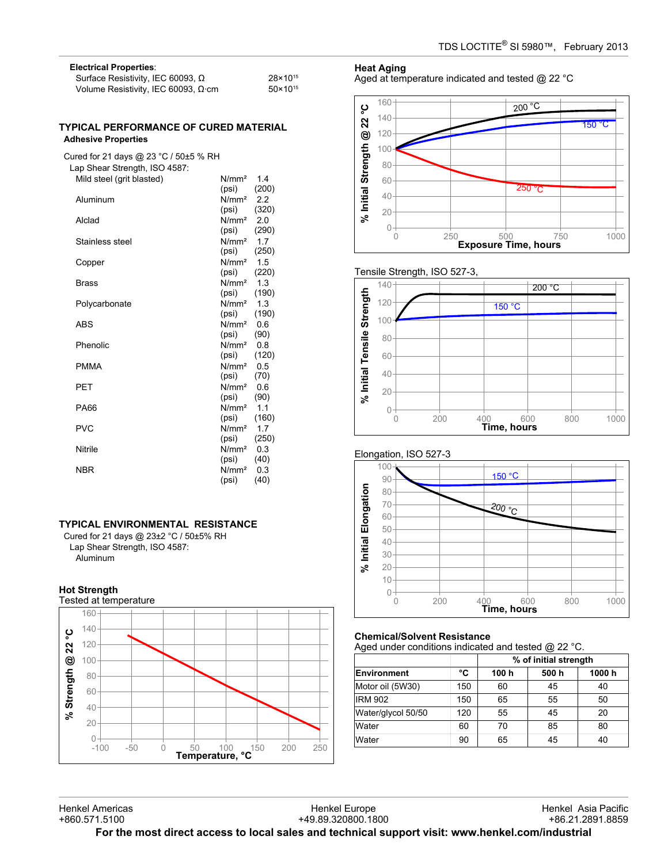| <b>Electrical Properties:</b>              |                     |  |  |
|--------------------------------------------|---------------------|--|--|
| Surface Resistivity, IEC 60093, $\Omega$   | 28×10 <sup>15</sup> |  |  |
| Volume Resistivity, IEC 60093, $\Omega$ cm | $50 \times 10^{15}$ |  |  |

### **TYPICAL PERFORMANCE OF CURED MATERIAL Adhesive Properties**

Cured for 21 days @ 23 °C / 50±5 % RH Lap Shear Strength, ISO 4587:

| Mild steel (grit blasted) | N/mm <sup>2</sup> | 1.4   |
|---------------------------|-------------------|-------|
|                           | (psi)             | (200) |
| Aluminum                  | N/mm <sup>2</sup> | 2.2   |
|                           | (psi)             | (320) |
| Alclad                    | N/mm <sup>2</sup> | 2.0   |
|                           | (psi)             | (290) |
| Stainless steel           | N/mm <sup>2</sup> | 1.7   |
|                           | (psi)             | (250) |
| Copper                    | N/mm <sup>2</sup> | 1.5   |
|                           | (psi)             | (220) |
| <b>Brass</b>              | N/mm <sup>2</sup> | 1.3   |
|                           | (psi)             | (190) |
| Polycarbonate             | N/mm <sup>2</sup> | 1.3   |
|                           | (psi)             | (190) |
| ABS                       | N/mm <sup>2</sup> | 0.6   |
|                           | (psi)             | (90)  |
| Phenolic                  | N/mm <sup>2</sup> | 0.8   |
|                           | (psi)             | (120) |
| <b>PMMA</b>               | N/mm <sup>2</sup> | 0.5   |
|                           | (psi)             | (70)  |
| PET                       | N/mm <sup>2</sup> | 0.6   |
|                           | (psi)             | (90)  |
| <b>PA66</b>               | N/mm <sup>2</sup> | 1.1   |
|                           | (psi)             | (160) |
| <b>PVC</b>                | N/mm <sup>2</sup> | 1.7   |
|                           | (psi)             | (250) |
| Nitrile                   | N/mm <sup>2</sup> | 0.3   |
|                           | (psi)             | (40)  |
| <b>NBR</b>                | N/mm <sup>2</sup> | 0.3   |
|                           | (psi)             | (40)  |

# **TYPICAL ENVIRONMENTAL RESISTANCE**

Cured for 21 days @ 23±2 °C / 50±5% RH Lap Shear Strength, ISO 4587: Aluminum

# **Hot Strength**



## **Heat Aging**

Aged at temperature indicated and tested @ 22 °C



#### Tensile Strength, ISO 527-3,







# **Chemical/Solvent Resistance**

Aged under conditions indicated and tested @ 22 °C.

|                    |     | % of initial strength |      |       |
|--------------------|-----|-----------------------|------|-------|
| Environment        | °C  | 100 h                 | 500h | 1000h |
| Motor oil (5W30)   | 150 | 60                    | 45   | 40    |
| <b>IRM 902</b>     | 150 | 65                    | 55   | 50    |
| Water/glycol 50/50 | 120 | 55                    | 45   | 20    |
| Water              | 60  | 70                    | 85   | 80    |
| Water              | 90  | 65                    | 45   | 40    |